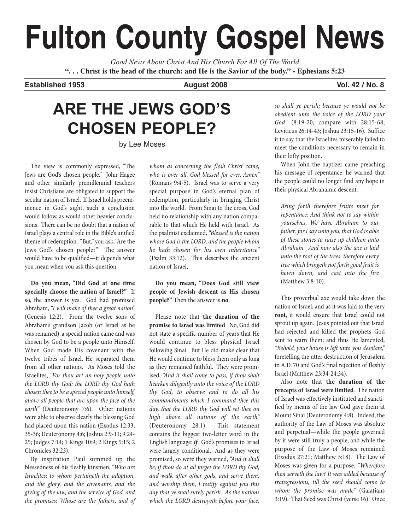# **Fulton County Gospel News**

*Good News About Christ And His Church For All Of The World* **". . . Christ is the head of the church: and He is the Savior of the body." - Ephesians 5:23**

**Established 1953 August 2008 Vol. 42 / No. 8**

## **ARE THE JEWS GOD'S CHOSEN PEOPLE?**

by Lee Moses

The view is commonly expressed, "The Jews are God's chosen people." John Hagee and other similarly premillennial teachers insist Christians are obligated to support the secular nation of Israel. If Israel holds preeminence in God's sight, such a conclusion would follow, as would other heavier conclusions. There can be no doubt that a nation of Israel plays a central role in the Bible's unified theme of redemption. "But," you ask,"Are the Jews God's chosen people?" The answer would have to be qualified—it depends what you mean when you ask this question.

**Do you mean, "Did God at one time specially choose the nation of Israel?"** If so, the answer is yes. God had promised Abraham, "I will make of thee a great nation" (Genesis 12:2). From the twelve sons of Abraham's grandson Jacob (or Israel as he was renamed), a special nation came and was chosen by God to be a people unto Himself. When God made His covenant with the twelve tribes of Israel, He separated them from all other nations. As Moses told the Israelites, "For thou art an holy people unto the LORD thy God: the LORD thy God hath chosen thee to be a special people unto himself, above all people that are upon the face of the earth" (Deuteronomy 7:6). Other nations were able to observe clearly the blessing God had placed upon this nation (Exodus 12:33, 35-36; Deuteronomy 4:6; Joshua 2:9-11; 9:24- 25; Judges 7:14; 1 Kings 10:9; 2 Kings 5:15; 2 Chronicles 32:23).

By inspiration Paul summed up the blessedness of his fleshly kinsmen, "Who are Israelites; to whom pertaineth the adoption, and the glory, and the covenants, and the giving of the law, and the service of God, and the promises; Whose are the fathers, and of whom as concerning the flesh Christ came, who is over all, God blessed for ever. Amen" (Romans 9:4-5). Israel was to serve a very special purpose in God's eternal plan of redemption, particularly in bringing Christ into the world. From Sinai to the cross, God held no relationship with any nation comparable to that which He held with Israel. As the psalmist exclaimed,"Blessed is the nation whose God is the LORD; and the people whom he hath chosen for his own inheritance" (Psalm 33:12). This describes the ancient nation of Israel,

**Do you mean, "Does God still view people of Jewish descent as His chosen people?"** Then the answer is **no**.

Please note that **the duration of the promise to Israel was limited**. No, God did not state a specific number of years that He would continue to bless physical Israel following Sinai. But He did make clear that He would continue to bless them only as long as they remained faithful. They were promised, "And it shall come to pass, if thou shalt hearken diligently unto the voice of the LORD thy God, to observe and to do all his commandments which I command thee this day, that the LORD thy God will set thee on high above all nations of the earth" (Deuteronomy 28:1). This statement contains the biggest two-letter word in the English language: **if**. God's promises to Israel were largely conditional. And as they were promised, so were they warned, "And it shall be, if thou do at all forget the LORD thy God, and walk after other gods, and serve them, and worship them, I testify against you this day that ye shall surely perish. As the nations which the LORD destroyeth before your face,

so shall ye perish; because ye would not be obedient unto the voice of the LORD your God" (8:19-20; compare with 28:15-68; Leviticus 26:14-43; Joshua 23:15-16). Suffice it to say that the Israelites miserably failed to meet the conditions necessary to remain in their lofty position.

When John the baptizer came preaching his message of repentance, he warned that the people could no longer find any hope in their physical Abrahamic descent:

Bring forth therefore fruits meet for repentance: And think not to say within yourselves, We have Abraham to our father: for I say unto you, that God is able of these stones to raise up children unto Abraham. And now also the axe is laid unto the root of the trees: therefore every tree which bringeth not forth good fruit is hewn down, and cast into the fire (Matthew 3:8-10).

This proverbial axe would take down the nation of Israel; and as it was laid to the very **root**, it would ensure that Israel could not sprout up again. Jesus pointed out that Israel had rejected and killed the prophets God sent to warn them; and thus He lamented, "Behold, your house is left unto you desolate," foretelling the utter destruction of Jerusalem in A.D. 70 and God's final rejection of fleshly Israel (Matthew 23:34-24:34).

Also note that **the duration of the precepts of Israel were limited**. The nation of Israel was effectively instituted and sanctified by means of the law God gave them at Mount Sinai (Deuteronomy 4:8). Indeed, the authority of the Law of Moses was absolute and perpetual—while the people governed by it were still truly a people, and while the purpose of the Law of Moses remained (Exodus 27:21; Matthew 5:18). The Law of Moses was given for a purpose: "Wherefore then serveth the law? It was added because of transgressions, till the seed should come to whom the promise was made" (Galatians 3:19). That Seed was Christ (verse 16). Once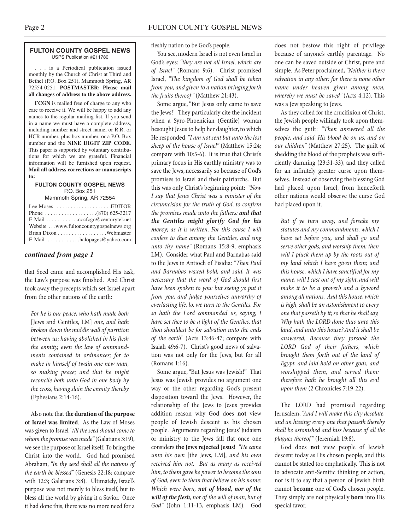#### **FULTON COUNTY GOSPEL NEWS** USPS Publication #211780

. . . is a Periodical publication issued monthly by the Church of Christ at Third and Bethel (P.O. Box 251), Mammoth Spring, AR 72554-0251. **POSTMASTER: Please mail all changes of address to the above address.**

**FCGN** is mailed free of charge to any who care to receive it. We will be happy to add any names to the regular mailing list. If you send in a name we must have a complete address, including number and street name, or R.R. or HCR number, plus box number, or a P.O. Box number and the **NINE DIGIT ZIP CODE**. This paper is supported by voluntary contributions for which we are grateful. Financial information will be furnished upon request. **Mail all address corrections or manuscripts to:**

#### **FULTON COUNTY GOSPEL NEWS** P.O. Box 251

Mammoth Spring, AR 72554

| Lee Moses $\dots \dots \dots \dots \dots$ . EDITOR |
|----------------------------------------------------|
|                                                    |
| E-Mail cocfcgn@centurytel.net                      |
| Website www.fultoncountygospelnews.org             |
|                                                    |
| E-Mail $\dots \dots \dots$ halopages @ yahoo.com   |

#### *continued from page 1*

that Seed came and accomplished His task, the Law's purpose was finished. And Christ took away the precepts which set Israel apart from the other nations of the earth:

For he is our peace, who hath made both [Jews and Gentiles, LM] one, and hath broken down the middle wall of partition between us; having abolished in his flesh the enmity, even the law of commandments contained in ordinances; for to make in himself of twain one new man, so making peace; and that he might reconcile both unto God in one body by the cross, having slain the enmity thereby (Ephesians 2:14-16).

Also note that **the duration of the purpose of Israel was limited**. As the Law of Moses was given to Israel "till the seed should come to whom the promise was made" (Galatians 3:19), we see the purpose of Israel itself: To bring the Christ into the world. God had promised Abraham, "In thy seed shall all the nations of the earth be blessed" (Genesis 22:18; compare with 12:3; Galatians 3:8). Ultimately, Israel's purpose was not merely to bless itself, but to bless all the world by giving it a Savior. Once it had done this, there was no more need for a

fleshly nation to be God's people.

You see, modern Israel is not even Israel in God's eyes: "they are not all Israel, which are of Israel" (Romans 9:6). Christ promised Israel, "The kingdom of God shall be taken from you, and given to a nation bringing forth the fruits thereof" (Matthew 21:43).

Some argue, "But Jesus only came to save the Jews!" They particularly cite the incident when a Syro-Phoenician (Gentile) woman besought Jesus to help her daughter, to which He responded,"I am not sent but unto the lost sheep of the house of Israel" (Matthew 15:24; compare with 10:5-6). It is true that Christ's primary focus in His earthly ministry was to save the Jews, necessarily so because of God's promises to Israel and their patriarchs. But this was only Christ's beginning point: "Now I say that Jesus Christ was a minister of the circumcision for the truth of God, to confirm the promises made unto the fathers: **and that the Gentiles might glorify God for his mercy**; as it is written, For this cause I will confess to thee among the Gentiles, and sing unto thy name" (Romans 15:8-9, emphasis LM). Consider what Paul and Barnabas said to the Jews in Antioch of Pisidia: "Then Paul and Barnabas waxed bold, and said, It was necessary that the word of God should first have been spoken to you: but seeing ye put it from you, and judge yourselves unworthy of everlasting life, lo, we turn to the Gentiles. For so hath the Lord commanded us, saying, I have set thee to be a light of the Gentiles, that thou shouldest be for salvation unto the ends of the earth" (Acts 13:46-47; compare with Isaiah 49:6-7). Christ's good news of salvation was not only for the Jews, but for all (Romans 1:16).

Some argue, "But Jesus was Jewish!" That Jesus was Jewish provides no argument one way or the other regarding God's present disposition toward the Jews. However, the relationship of the Jews to Jesus provides addition reason why God does **not** view people of Jewish descent as his chosen people. Arguments regarding Jesus' Judaism or ministry to the Jews fall flat once one considers **the Jews rejected Jesus!** "He came unto his own [the Jews, LM], and his own received him not. But as many as received him, to them gave he power to become the sons of God, even to them that believe on his name: Which were born, **not of blood, nor of the will of the flesh**, nor of the will of man, but of God" (John 1:11-13, emphasis LM). God

does not bestow this right of privilege because of anyone's earthly parentage. No one can be saved outside of Christ, pure and simple. As Peter proclaimed, "Neither is there salvation in any other: for there is none other name under heaven given among men, whereby we must be saved" (Acts 4:12). This was a Jew speaking to Jews.

As they called for the crucifixion of Christ, the Jewish people willingly took upon themselves the guilt: "Then answered all the people, and said, His blood be on us, and on our children" (Matthew 27:25). The guilt of shedding the blood of the prophets was sufficiently damning (23:31-33), and they called for an infinitely greater curse upon themselves. Instead of observing the blessing God had placed upon Israel, from henceforth other nations would observe the curse God had placed upon it.

But if ye turn away, and forsake my statutes and my commandments, which I have set before you, and shall go and serve other gods, and worship them; then will I pluck them up by the roots out of my land which I have given them; and this house, which I have sanctified for my name, will I cast out of my sight, and will make it to be a proverb and a byword among all nations. And this house, which is high, shall be an astonishment to every one that passeth by it; so that he shall say, Why hath the LORD done thus unto this land, and unto this house? And it shall be answered, Because they forsook the LORD God of their fathers, which brought them forth out of the land of Egypt, and laid hold on other gods, and worshipped them, and served them: therefore hath he brought all this evil upon them (2 Chronicles 7:19-22).

The LORD had promised regarding Jerusalem,"And I will make this city desolate, and an hissing; every one that passeth thereby shall be astonished and hiss because of all the plagues thereof" (Jeremiah 19:8).

God does **not** view people of Jewish descent today as His chosen people, and this cannot be stated too emphatically. This is not to advocate anti-Semitic thinking or action, nor is it to say that a person of Jewish birth cannot **become** one of God's chosen people. They simply are not physically **born** into His special favor.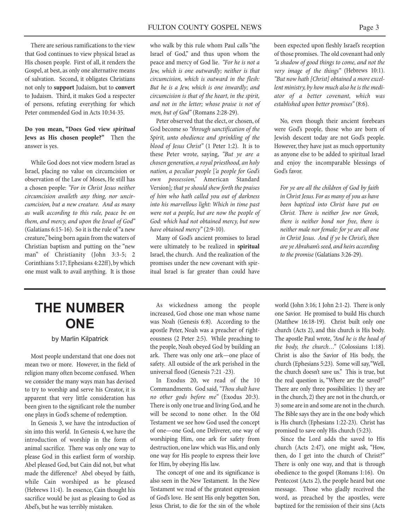There are serious ramifications to the view that God continues to view physical Israel as His chosen people. First of all, it renders the Gospel, at best, as only one alternative means of salvation. Second, it obligates Christians not only to **support** Judaism, but to **convert** to Judaism. Third, it makes God a respecter of persons, refuting everything for which Peter commended God in Acts 10:34-35.

#### **Do you mean, "Does God view spiritual Jews as His chosen people?"** Then the answer is yes.

While God does not view modern Israel as Israel, placing no value on circumcision or observation of the Law of Moses, He still has a chosen people: "For in Christ Jesus neither circumcision availeth any thing, nor uncircumcision, but a new creature. And as many as walk according to this rule, peace be on them, and mercy, and upon the Israel of God" (Galatians 6:15-16). So it is the rule of "a new creature," being born again from the waters of Christian baptism and putting on the "new man" of Christianity (John 3:3-5; 2 Corinthians 5:17; Ephesians 4:22ff), by which one must walk to avail anything. It is those

who walk by this rule whom Paul calls "the Israel of God," and thus upon whom the peace and mercy of God lie. "For he is not a Jew, which is one outwardly; neither is that circumcision, which is outward in the flesh: But he is a Jew, which is one inwardly; and circumcision is that of the heart, in the spirit, and not in the letter; whose praise is not of men, but of God" (Romans 2:28-29).

Peter observed that the elect, or chosen, of God become so "through sanctification of the Spirit, unto obedience and sprinkling of the blood of Jesus Christ" (1 Peter 1:2). It is to these Peter wrote, saying, "But ye are a chosen generation, a royal priesthood, an holy nation, a peculiar people ['a people for God's own possession,' American Standard Version]; that ye should shew forth the praises of him who hath called you out of darkness into his marvellous light: Which in time past were not a people, but are now the people of God: which had not obtained mercy, but now have obtained mercy" (2:9-10).

Many of God's ancient promises to Israel were ultimately to be realized in **spiritual** Israel, the church. And the realization of the promises under the new covenant with spiritual Israel is far greater than could have

been expected upon fleshly Israel's reception of those promises. The old covenant had only "a shadow of good things to come, and not the very image of the things" (Hebrews 10:1). "But now hath [Christ] obtained a more excellent ministry, by how much also he is the mediator of a better covenant, which was established upon better promises" (8:6).

No, even though their ancient forebears were God's people, those who are born of Jewish descent today are not God's people. However, they have just as much opportunity as anyone else to be added to spiritual Israel and enjoy the incomparable blessings of God's favor.

For ye are all the children of God by faith in Christ Jesus. For as many of you as have been baptized into Christ have put on Christ. There is neither Jew nor Greek, there is neither bond nor free, there is neither male nor female: for ye are all one in Christ Jesus. And if ye be Christ's, then are ye Abraham's seed, and heirs according to the promise (Galatians 3:26-29).

### **THE NUMBER ONE**

by Marlin Kilpatrick

Most people understand that one does not mean two or more. However, in the field of religion many often become confused. When we consider the many ways man has devised to try to worship and serve his Creator, it is apparent that very little consideration has been given to the significant role the number one plays in God's scheme of redemption.

In Genesis 3, we have the introduction of sin into this world. In Genesis 4, we have the introduction of worship in the form of animal sacrifice. There was only one way to please God in this earliest form of worship. Abel pleased God, but Cain did not, but what made the difference? Abel obeyed by faith, while Cain worshiped as he pleased (Hebrews 11:4). In essence, Cain thought his sacrifice would be just as pleasing to God as Abel's, but he was terribly mistaken.

As wickedness among the people increased, God chose one man whose name was Noah (Genesis 6:8). According to the apostle Peter, Noah was a preacher of righteousness (2 Peter 2:5). While preaching to the people, Noah obeyed God by building an ark. There was only one ark—one place of safety. All outside of the ark perished in the universal flood (Genesis 7:21 -23).

In Exodus 20, we read of the 10 Commandments. God said,"Thou shalt have no other gods before me" (Exodus 20:3). There is only one true and living God, and he will be second to none other. In the Old Testament we see how God used the concept of one—one God, one Deliverer, one way of worshiping Him, one ark for safety from destruction, one law which was His, and only one way for His people to express their love for Him, by obeying His law.

The concept of one and its significance is also seen in the New Testament. In the New Testament we read of the greatest expression of God's love. He sent His only begotten Son, Jesus Christ, to die for the sin of the whole

world (John 3:16; 1 John 2:1-2). There is only one Savior. He promised to build His church (Matthew 16:18-19). Christ built only one church (Acts 2), and this church is His body. The apostle Paul wrote, "And he is the head of the body, the church…" (Colossians 1:18). Christ is also the Savior of His body, the church (Ephesians 5:23). Some will say,"Well, the church doesn't save us." This is true, but the real question is, "Where are the saved?" There are only three possibilities: 1) they are in the church, 2) they are not in the church, or 3) some are in and some are not in the church. The Bible says they are in the one body which is His church (Ephesians 1:22-23). Christ has promised to save only His church (5:23).

Since the Lord adds the saved to His church (Acts 2:47), one might ask, "How, then, do I get into the church of Christ?" There is only one way, and that is through obedience to the gospel (Romans 1:16). On Pentecost (Acts 2), the people heard but one message. Those who gladly received the word, as preached by the apostles, were baptized for the remission of their sins (Acts